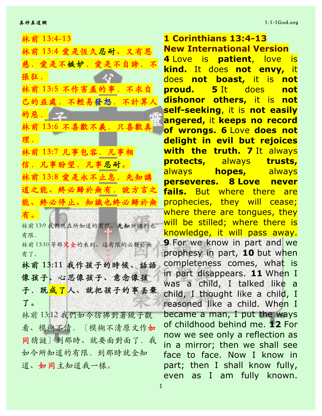林前 13:4-13

| 林前 13:4 愛是恆久忍耐、又有恩              |
|---------------------------------|
| 慈.愛是不嫉妒.愛是不自誇.不                 |
| 張狂.                             |
| 林前 13:5 不作害羞的事.不求自              |
| 已的益處.不輕易發怒.不計算人                 |
| 的惡。【一<br>EIE3                   |
| 林前 13:6 不喜歡不義.只喜歡真              |
| 理.                              |
| 林前 13:7 凡事包容. 凡事相               |
| 信.凡事盼望.凡事忍耐。                    |
| 林前 13:8 愛是永不止息. 先知講             |
| 道之能、終必歸於無有.說方言之                 |
| 能、終必停止、知識也終必歸於無                 |
| 有。                              |
| 林前13:9 我們現在所知道的有限、先知所講的也<br>有限. |
| 林前13:10 等那完全的來到、這有限的必歸於無        |
| 有了。                             |
| 林前 13:11 我作孩子的時候、話語             |
| 像孩子、心思像孩子、意念像孩                  |
| 子. 既成了人、就把孩子的事丢棄                |
| 了。                              |
| 林前13:12 我們如今彷彿對著鏡子觀             |
| 看、模糊不清.〔模糊不清原文作如                |
| 同猜謎〕到那時、就要面對面了. 我               |
| 如今所知道的有限. 到那時就全知                |
| 道、如同主知道我一樣。                     |

**1 Corinthians 13:4-13 New International Version 4** Love is **patient**, love is **kind.** It does **not envy,** it does **not boast,** it is **not proud. 5** It does **not dishonor others,** it is **not self-seeking**, it is **not easily angered,** it **keeps no record of wrongs. 6** Love **does not delight in evil but rejoices with the truth. 7** It always **protects,** always **trusts,** always **hopes,** always **perseveres. 8 Love never fails.** But where there are prophecies, they will cease; where there are tongues, they will be stilled; where there is knowledge, it will pass away. **9** For we know in part and we prophesy in part, **10** but when completeness comes, what is in part disappears. **11** When I was a child, I talked like a child, I thought like a child, I reasoned like a child. When I became a man, I put the ways of childhood behind me. **12** For now we see only a reflection as in a mirror; then we shall see face to face. Now I know in part; then I shall know fully, even as I am fully known.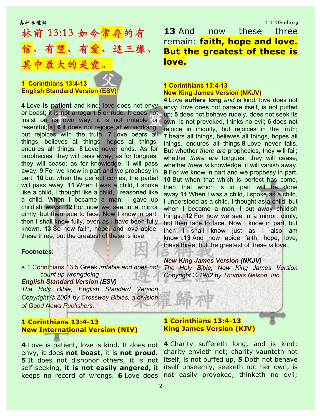# 林前 13:13 如今常存的有 有望、這三樣、 其中最⼤的是愛。

### **1 Corinthians 13:4-13 English Standard Version (ESV)**

**4** Love **is patient** and kind; love does not envy or boast; it is not arrogant **5** or rude. It does not insist on its own way; it is not irritable or resentful;**[a] 6** it does not rejoice at wrongdoing, but rejoices with the truth. **7** Love bears all things, believes all things, hopes all things, endures all things. **8** Love never ends. As for prophecies, they will pass away; as for tongues, they will cease; as for knowledge, it will pass away. **9** For we know in part and we prophesy in part, **10** but when the perfect comes, the partial will pass away. **11** When I was a child, I spoke like a child, I thought like a child, I reasoned like a child. When I became a man, I gave up childish ways. **12** For now we see in a mirror dimly, but then face to face. Now I know in part; then I shall know fully, even as I have been fully known. **13** So now faith, hope, and love abide, these three; but the greatest of these is love.

#### **Footnotes:**

# a.1 Corinthians 13:5 Greek *irritable and does not The Holy Bible, New King James Version count up wrongdoing*

#### *English Standard Version (ESV)*

*The Holy Bible, English Standard Version Copyright © 2001 by Crossway Bibles, a division of Good News Publishers.*

# **1 Corinthians 13:4-13 New International Version (NIV)**

**4** Love is patient, love is kind. It does not envy, it does **not boast,** it is **not proud. 5** It does not dishonor others, it is not self-seeking, **it is not easily angered,** it keeps no record of wrongs. **6** Love does not easily provoked, thinketh no evil;

**13** And now these three remain: **faith, hope and love. But the greatest of these is love.**

# **1 Corinthians 13:4-13 New King James Version (NKJV)**

**4** Love **suffers long** *and* is kind; love does not envy; love does not parade itself, is not puffed up; **5** does not behave rudely, does not seek its own, is not provoked, thinks no evil; **6** does not rejoice in iniquity, but rejoices in the truth; **7** bears all things, believes all things, hopes all things, endures all things.**8** Love never fails. But whether *there are* prophecies, they will fail; whether *there are* tongues, they will cease; whether *there is* knowledge, it will vanish away. **9** For we know in part and we prophesy in part. **10** But when that which is perfect has come, then that which is in part will be done away.**11** When I was a child, I spoke as a child, I understood as a child, I thought as a child; but when I became a man, I put away childish things. **12** For now we see in a mirror, dimly, but then face to face. Now I know in part, but then I shall know just as I also am known.**13** And now abide faith, hope, love, these three; but the greatest of these *is* love.

#### *New King James Version (NKJV)*

*Copyright © 1982 by Thomas Nelson, Inc.*

### **1 Corinthians 13:4-13 King James Version (KJV)**

**4** Charity suffereth long, and is kind; charity envieth not; charity vaunteth not itself, is not puffed up, **5** Doth not behave itself unseemly, seeketh not her own, is